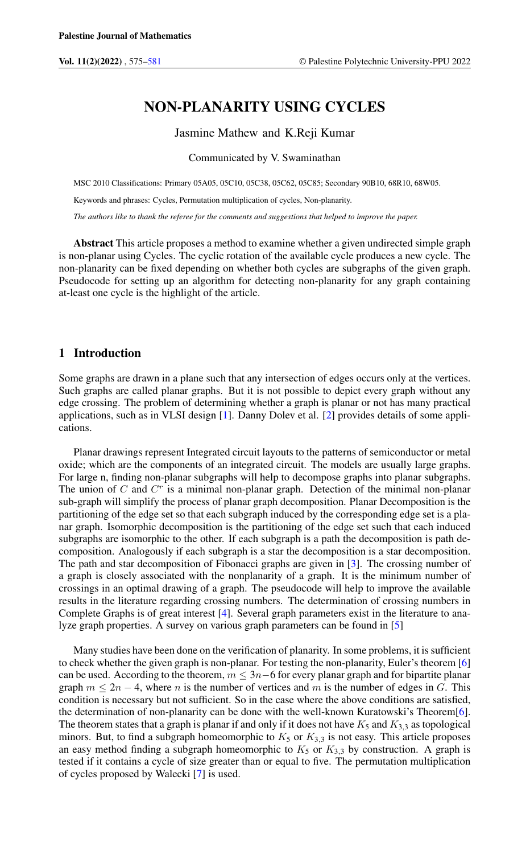# NON-PLANARITY USING CYCLES

#### Jasmine Mathew and K.Reji Kumar

#### Communicated by V. Swaminathan

MSC 2010 Classifications: Primary 05A05, 05C10, 05C38, 05C62, 05C85; Secondary 90B10, 68R10, 68W05.

Keywords and phrases: Cycles, Permutation multiplication of cycles, Non-planarity.

*The authors like to thank the referee for the comments and suggestions that helped to improve the paper.*

Abstract This article proposes a method to examine whether a given undirected simple graph is non-planar using Cycles. The cyclic rotation of the available cycle produces a new cycle. The non-planarity can be fixed depending on whether both cycles are subgraphs of the given graph. Pseudocode for setting up an algorithm for detecting non-planarity for any graph containing at-least one cycle is the highlight of the article.

# 1 Introduction

Some graphs are drawn in a plane such that any intersection of edges occurs only at the vertices. Such graphs are called planar graphs. But it is not possible to depict every graph without any edge crossing. The problem of determining whether a graph is planar or not has many practical applications, such as in VLSI design [\[1\]](#page-5-1). Danny Dolev et al. [\[2\]](#page-5-2) provides details of some applications.

Planar drawings represent Integrated circuit layouts to the patterns of semiconductor or metal oxide; which are the components of an integrated circuit. The models are usually large graphs. For large n, finding non-planar subgraphs will help to decompose graphs into planar subgraphs. The union of  $C$  and  $C<sup>r</sup>$  is a minimal non-planar graph. Detection of the minimal non-planar sub-graph will simplify the process of planar graph decomposition. Planar Decomposition is the partitioning of the edge set so that each subgraph induced by the corresponding edge set is a planar graph. Isomorphic decomposition is the partitioning of the edge set such that each induced subgraphs are isomorphic to the other. If each subgraph is a path the decomposition is path decomposition. Analogously if each subgraph is a star the decomposition is a star decomposition. The path and star decomposition of Fibonacci graphs are given in [\[3\]](#page-5-3). The crossing number of a graph is closely associated with the nonplanarity of a graph. It is the minimum number of crossings in an optimal drawing of a graph. The pseudocode will help to improve the available results in the literature regarding crossing numbers. The determination of crossing numbers in Complete Graphs is of great interest [\[4\]](#page-5-4). Several graph parameters exist in the literature to analyze graph properties. A survey on various graph parameters can be found in [\[5\]](#page-5-5)

Many studies have been done on the verification of planarity. In some problems, it is sufficient to check whether the given graph is non-planar. For testing the non-planarity, Euler's theorem [\[6\]](#page-5-6) can be used. According to the theorem,  $m \leq 3n-6$  for every planar graph and for bipartite planar graph  $m \le 2n - 4$ , where n is the number of vertices and m is the number of edges in G. This condition is necessary but not sufficient. So in the case where the above conditions are satisfied, the determination of non-planarity can be done with the well-known Kuratowski's Theorem[\[6\]](#page-5-6). The theorem states that a graph is planar if and only if it does not have  $K_5$  and  $K_{3,3}$  as topological minors. But, to find a subgraph homeomorphic to  $K_5$  or  $K_{3,3}$  is not easy. This article proposes an easy method finding a subgraph homeomorphic to  $K_5$  or  $K_{3,3}$  by construction. A graph is tested if it contains a cycle of size greater than or equal to five. The permutation multiplication of cycles proposed by Walecki [\[7\]](#page-5-7) is used.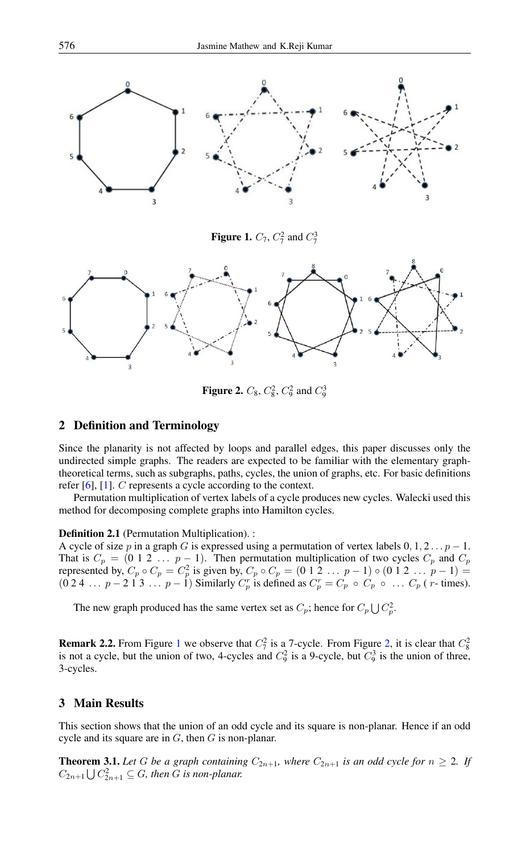

<span id="page-1-0"></span>**Figure 1.**  $C_7$ ,  $C_7^2$  and  $C_7^3$ 



<span id="page-1-1"></span>**Figure 2.**  $C_8$ ,  $C_8^2$ ,  $C_9^2$  and  $C_9^3$ 

## 2 Definition and Terminology

Since the planarity is not affected by loops and parallel edges, this paper discusses only the undirected simple graphs. The readers are expected to be familiar with the elementary graphtheoretical terms, such as subgraphs, paths, cycles, the union of graphs, etc. For basic definitions refer [\[6\]](#page-5-6), [\[1\]](#page-5-1). C represents a cycle according to the context.

Permutation multiplication of vertex labels of a cycle produces new cycles. Walecki used this method for decomposing complete graphs into Hamilton cycles.

## Definition 2.1 (Permutation Multiplication). :

A cycle of size p in a graph G is expressed using a permutation of vertex labels  $0, 1, 2...p - 1$ . That is  $C_p = (0 \ 1 \ 2 \ \dots \ p-1)$ . Then permutation multiplication of two cycles  $C_p$  and  $C_p$ represented by,  $C_p \circ C_p = C_p^2$  is given by,  $C_p \circ C_p = (0 \ 1 \ 2 \ \dots \ p-1) \circ (0 \ 1 \ 2 \ \dots \ p-1) =$  $(0\ 2\ 4\ \ldots\ p-2\ 1\ 3\ \ldots\ p-1)$  Similarly  $C_p^r$  is defined as  $C_p^r = C_p \circ C_p \circ \ldots C_p$  (*r*-times).

The new graph produced has the same vertex set as  $C_p$ ; hence for  $C_p \bigcup C_p^2$ .

**Remark 2.2.** From Figure [1](#page-1-0) we observe that  $C_7^2$  is a 7-cycle. From Figure [2,](#page-1-1) it is clear that  $C_8^2$  is not a cycle, but the union of two, 4-cycles and  $C_9^2$  is a 9-cycle, but  $C_9^3$  is the union of three, 3-cycles.

## 3 Main Results

This section shows that the union of an odd cycle and its square is non-planar. Hence if an odd cycle and its square are in  $G$ , then  $G$  is non-planar.

<span id="page-1-2"></span>**Theorem 3.1.** Let G be a graph containing  $C_{2n+1}$ , where  $C_{2n+1}$  is an odd cycle for  $n \geq 2$ . If  $C_{2n+1} \bigcup C_{2n+1}^2 \subseteq G$ , then G is non-planar.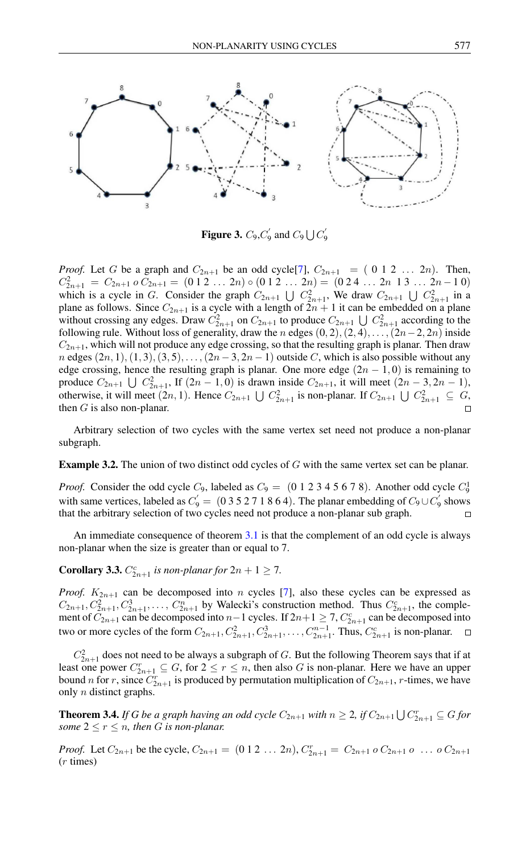

Figure 3.  $C_9, C'_9$  $C_9'$  and  $C_9 \bigcup C_9'$ 9

*Proof.* Let G be a graph and  $C_{2n+1}$  be an odd cycle [\[7\]](#page-5-7),  $C_{2n+1} = (0 \ 1 \ 2 \ ... \ 2n)$ . Then,  $C_{2n+1}^2 = C_{2n+1} \circ C_{2n+1} = (0 \ 1 \ 2 \ \ldots \ 2n) \circ (0 \ 1 \ 2 \ \ldots \ 2n) = (0 \ 2 \ 4 \ \ldots \ 2n \ 1 \ 3 \ \ldots \ 2n-1 \ 0)$ which is a cycle in G. Consider the graph  $C_{2n+1} \bigcup C_{2n+1}^2$ , We draw  $C_{2n+1} \bigcup C_{2n+1}^2$  in a plane as follows. Since  $C_{2n+1}$  is a cycle with a length of  $2n + 1$  it can be embedded on a plane without crossing any edges. Draw  $C_{2n+1}^2$  on  $C_{2n+1}$  to produce  $C_{2n+1} \bigcup C_{2n+1}^2$  according to the following rule. Without loss of generality, draw the n edges  $(0, 2), (2, 4), \ldots, (2n-2, 2n)$  inside  $C_{2n+1}$ , which will not produce any edge crossing, so that the resulting graph is planar. Then draw n edges  $(2n, 1), (1, 3), (3, 5), \ldots, (2n-3, 2n-1)$  outside C, which is also possible without any edge crossing, hence the resulting graph is planar. One more edge  $(2n - 1, 0)$  is remaining to produce  $C_{2n+1} \bigcup C_{2n+1}^2$ , If  $(2n-1,0)$  is drawn inside  $C_{2n+1}$ , it will meet  $(2n-3,2n-1)$ , otherwise, it will meet  $(2n, 1)$ . Hence  $C_{2n+1} \bigcup C_{2n+1}^2$  is non-planar. If  $C_{2n+1} \bigcup C_{2n+1}^2 \subseteq G$ , then  $G$  is also non-planar.  $\Box$ 

Arbitrary selection of two cycles with the same vertex set need not produce a non-planar subgraph.

**Example 3.2.** The union of two distinct odd cycles of  $G$  with the same vertex set can be planar.

*Proof.* Consider the odd cycle  $C_9$ , labeled as  $C_9 = (0 \ 1 \ 2 \ 3 \ 4 \ 5 \ 6 \ 7 \ 8)$ . Another odd cycle  $C_9^1$ with same vertices, labeled as  $C_9 = (035271864)$ . The planar embedding of  $C_9 \cup C_9$  $\frac{1}{9}$  shows that the arbitrary selection of two cycles need not produce a non-planar sub graph.

An immediate consequence of theorem [3.1](#page-1-2) is that the complement of an odd cycle is always non-planar when the size is greater than or equal to 7.

**Corollary 3.3.**  $C_{2n+1}^c$  is non-planar for  $2n + 1 \ge 7$ .

*Proof.*  $K_{2n+1}$  can be decomposed into n cycles [\[7\]](#page-5-7), also these cycles can be expressed as  $C_{2n+1}, C_{2n+1}^3, C_{2n+1}^3, \ldots, C_{2n+1}^n$  by Walecki's construction method. Thus  $C_{2n+1}^c$ , the complement of  $C_{2n+1}$  can be decomposed into  $n-1$  cycles. If  $2n+1 \ge 7$ ,  $C_{2n+1}^c$  can be decomposed into two or more cycles of the form  $C_{2n+1}, C_{2n+1}^2, C_{2n+1}^3, \ldots, C_{2n+1}^{n-1}$ . Thus,  $C_{2n+1}^c$  is non-planar.

 $C_{2n+1}^2$  does not need to be always a subgraph of G. But the following Theorem says that if at least one power  $C_{2n+1}^r \subseteq G$ , for  $2 \le r \le n$ , then also G is non-planar. Here we have an upper bound *n* for *r*, since  $C_{2n+1}^r$  is produced by permutation multiplication of  $C_{2n+1}$ , *r*-times, we have only n distinct graphs.

**Theorem 3.4.** If G be a graph having an odd cycle  $C_{2n+1}$  with  $n \geq 2$ , if  $C_{2n+1} \bigcup C_{2n+1}^r \subseteq G$  for *some*  $2 \le r \le n$ *, then G is non-planar.* 

*Proof.* Let  $C_{2n+1}$  be the cycle,  $C_{2n+1} = (0 \ 1 \ 2 \ \dots \ 2n)$ ,  $C_{2n+1}^r = C_{2n+1} \ 0 \ C_{2n+1} \ 0 \ \dots \ 0 \ C_{2n+1}$ (r times)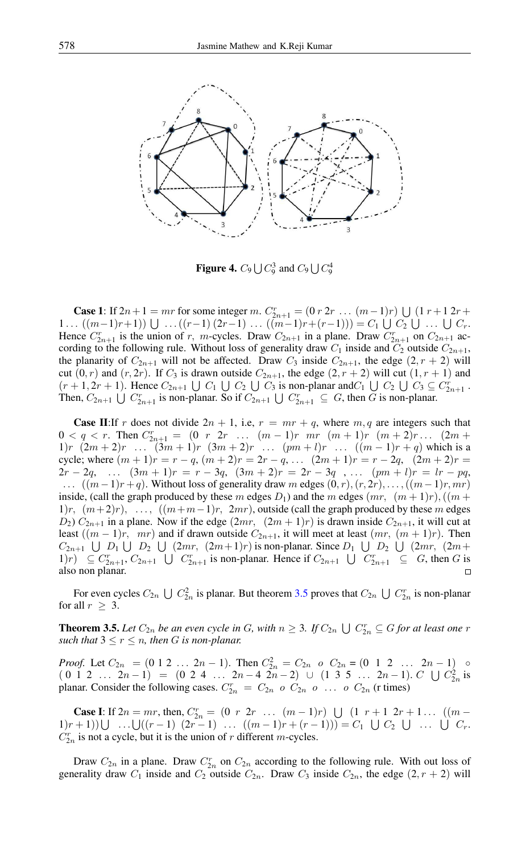

**Figure 4.**  $C_9 \bigcup C_9^3$  and  $C_9 \bigcup C_9^4$ 

**Case 1:** If  $2n+1 = mr$  for some integer m.  $C_{2n+1}^r = (0 \, r \, 2r \, \dots \, (m-1)r) \cup (1 \, r+1 \, 2r+1)$ 1...  $((m-1)r+1)$   $\cup$  ...  $((r-1) (2r-1)$  ...  $((m-1)r+(r-1))$  =  $C_1 \cup C_2 \cup ... \cup C_r$ . Hence  $C_{2n+1}^r$  is the union of r, m-cycles. Draw  $C_{2n+1}$  in a plane. Draw  $C_{2n+1}^r$  on  $C_{2n+1}$  according to the following rule. Without loss of generality draw  $C_1$  inside and  $C_2$  outside  $C_{2n+1}$ , the planarity of  $C_{2n+1}$  will not be affected. Draw  $C_3$  inside  $C_{2n+1}$ , the edge  $(2, r + 2)$  will cut  $(0, r)$  and  $(r, 2r)$ . If  $C_3$  is drawn outside  $C_{2n+1}$ , the edge  $(2, r + 2)$  will cut  $(1, r + 1)$  and  $(r+1, 2r+1)$ . Hence  $C_{2n+1} \cup C_1 \cup C_2 \cup C_3$  is non-planar and  $C_1 \cup C_2 \cup C_3 \subseteq C_{2n+1}^r$ . Then,  $C_{2n+1} \bigcup C_{2n+1}^r$  is non-planar. So if  $C_{2n+1} \bigcup C_{2n+1}^r \subseteq G$ , then G is non-planar.

**Case II:**If r does not divide  $2n + 1$ , i.e,  $r = mr + q$ , where  $m, q$  are integers such that  $0 < q < r$ . Then  $C_{2n+1}^r = (0 \ r \ 2r \ \ldots \ (m-1)r \ mr \ (m+1)r \ (m+2)r \ldots \ (2m+1)r$ 1)r  $(2m + 2)r$  ...  $(3m + 1)r$   $(3m + 2)r$  ...  $(pm + l)r$  ...  $((m - 1)r + q)$  which is a cycle; where  $(m + 1)r = r - q$ ,  $(m + 2)r = 2r - q$ , ...  $(2m + 1)r = r - 2q$ ,  $(2m + 2)r =$  $2r-2q$ , ...  $(3m+1)r = r-3q$ ,  $(3m+2)r = 2r-3q$ , ...  $(pm + 1)r = lr - pq$ ,  $\ldots$  ( $(m-1)r+q$ ). Without loss of generality draw m edges  $(0, r), (r, 2r), \ldots, ((m-1)r, mr)$ inside, (call the graph produced by these m edges  $D_1$ ) and the m edges  $(mr, (m+1)r)$ ,  $((m +$  $1)r, (m+2)r, \ldots, ((m+m-1)r, 2mr)$ , outside (call the graph produced by these m edges  $D_2$ )  $C_{2n+1}$  in a plane. Now if the edge  $(2mr, (2m+1)r)$  is drawn inside  $C_{2n+1}$ , it will cut at least  $((m - 1)r, mr)$  and if drawn outside  $C_{2n+1}$ , it will meet at least  $(mr, (m + 1)r)$ . Then  $C_{2n+1} \cup D_1 \cup D_2 \cup (2mr, (2m+1)r)$  is non-planar. Since  $D_1 \cup D_2 \cup (2mr, (2m+1)r)$ 1)r)  $\subseteq C_{2n+1}^r, C_{2n+1} \cup C_{2n+1}^r$  is non-planar. Hence if  $C_{2n+1} \cup C_{2n+1}^r \subseteq G$ , then G is also non planar.  $\Box$ 

For even cycles  $C_{2n} \bigcup C_{2n}^2$  is planar. But theorem [3.5](#page-3-0) proves that  $C_{2n} \bigcup C_{2n}^r$  is non-planar for all  $r \geq 3$ .

<span id="page-3-0"></span>**Theorem 3.5.** Let  $C_{2n}$  be an even cycle in G, with  $n \geq 3$ . If  $C_{2n} \cup C_{2n}^r \subseteq G$  for at least one r *such that*  $3 \leq r \leq n$ *, then G is non-planar.* 

*Proof.* Let  $C_{2n} = (0 \ 1 \ 2 \ \dots \ 2n-1)$ . Then  $C_{2n}^2 = C_{2n}$   $o$   $C_{2n} = (0 \ 1 \ 2 \ \dots \ 2n-1)$   $o$  $(0 \ 1 \ 2 \ \ldots \ 2n-1) = (0 \ 2 \ 4 \ \ldots \ 2n-4 \ 2n-2) \ \cup \ (1 \ 3 \ 5 \ \ldots \ 2n-1) \ C \ \bigcup C_{2n}^2$  is planar. Consider the following cases.  $C_{2n}^r = C_{2n}$  o  $C_{2n}$  o ... o  $C_{2n}$  (r times)

**Case I:** If  $2n = mr$ , then,  $C_{2n}^r = (0 \ r \ 2r \ \ldots \ (m-1)r) \ \cup \ (1 \ r+1 \ 2r+1 \ldots \ ((m-1)r) \ \cup \ (m-1)r)$ 1)r+1)) $\bigcup ... \bigcup ((r-1) (2r-1) ... ((m-1)r+(r-1))) = C_1 \bigcup C_2 \bigcup ... \bigcup C_r$  $C_{2n}^r$  is not a cycle, but it is the union of r different m-cycles.

Draw  $C_{2n}$  in a plane. Draw  $C_{2n}^r$  on  $C_{2n}$  according to the following rule. With out loss of generality draw  $C_1$  inside and  $C_2$  outside  $C_{2n}$ . Draw  $C_3$  inside  $C_{2n}$ , the edge  $(2, r + 2)$  will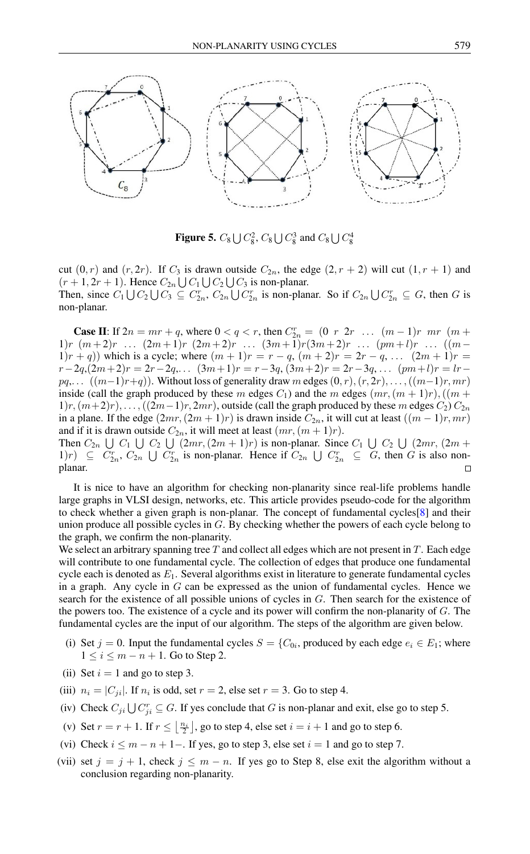

**Figure 5.**  $C_8 \bigcup C_8^2$ ,  $C_8 \bigcup C_8^3$  and  $C_8 \bigcup C_8^4$ 

cut  $(0, r)$  and  $(r, 2r)$ . If  $C_3$  is drawn outside  $C_{2n}$ , the edge  $(2, r + 2)$  will cut  $(1, r + 1)$  and  $(r+1, 2r+1)$ . Hence  $C_{2n} \bigcup C_1 \bigcup C_2 \bigcup C_3$  is non-planar. Then, since  $C_1 \bigcup C_2 \bigcup C_3 \subseteq C_{2n}^r$ ,  $C_{2n} \bigcup C_{2n}^r$  is non-planar. So if  $C_{2n} \bigcup C_{2n}^r \subseteq G$ , then G is non-planar.

**Case II:** If  $2n = mr + q$ , where  $0 < q < r$ , then  $C_{2n}^r = (0 \ r \ 2r \ \dots \ (m-1)r \ mr \ (m+1)$ 1)r  $(m+2)r$  ...  $(2m+1)r$   $(2m+2)r$  ...  $(3m+1)r$  $(3m+2)r$  ...  $(pm+l)r$  ...  $((m-l)$ 1)r + q)) which is a cycle; where  $(m + 1)r = r - q$ ,  $(m + 2)r = 2r - q$ , ...  $(2m + 1)r =$  $r-2q,(2m+2)r = 2r-2q,...$   $(3m+1)r = r-3q,(3m+2)r = 2r-3q,...$   $(pm+l)r = lr$  $pq, \ldots$   $((m-1)r+q)$ ). Without loss of generality draw m edges  $(0, r), (r, 2r), \ldots, (m-1)r, mr)$ inside (call the graph produced by these m edges  $C_1$ ) and the m edges  $(mr,(m+1)r)$ ,  $((m +$  $1)r, (m+2)r), \ldots, (2m-1)r, 2mr)$ , outside (call the graph produced by these m edges  $C_2$ )  $C_{2n}$ in a plane. If the edge  $(2mr, (2m + 1)r)$  is drawn inside  $C_{2n}$ , it will cut at least  $((m - 1)r, mr)$ and if it is drawn outside  $C_{2n}$ , it will meet at least  $(mr,(m+1)r)$ . Then  $C_{2n} \cup C_1 \cup C_2 \cup (2mr, (2m+1)r)$  is non-planar. Since  $C_1 \cup C_2 \cup (2mr, (2m+1)r)$ 1)r)  $\subseteq C_{2n}^r$ ,  $C_{2n} \cup C_{2n}^r$  is non-planar. Hence if  $C_{2n} \cup C_{2n}^r \subseteq G$ , then G is also non-

planar.

It is nice to have an algorithm for checking non-planarity since real-life problems handle large graphs in VLSI design, networks, etc. This article provides pseudo-code for the algorithm to check whether a given graph is non-planar. The concept of fundamental cycles[\[8\]](#page-5-8) and their union produce all possible cycles in G. By checking whether the powers of each cycle belong to the graph, we confirm the non-planarity.

We select an arbitrary spanning tree  $T$  and collect all edges which are not present in  $T$ . Each edge will contribute to one fundamental cycle. The collection of edges that produce one fundamental cycle each is denoted as  $E_1$ . Several algorithms exist in literature to generate fundamental cycles in a graph. Any cycle in  $G$  can be expressed as the union of fundamental cycles. Hence we search for the existence of all possible unions of cycles in G. Then search for the existence of the powers too. The existence of a cycle and its power will confirm the non-planarity of  $G$ . The fundamental cycles are the input of our algorithm. The steps of the algorithm are given below.

- (i) Set  $j = 0$ . Input the fundamental cycles  $S = \{C_{0i}, \text{ produced by each edge } e_i \in E_1; \text{ where }$  $1 \leq i \leq m - n + 1$ . Go to Step 2.
- (ii) Set  $i = 1$  and go to step 3.
- (iii)  $n_i = |C_{ji}|$ . If  $n_i$  is odd, set  $r = 2$ , else set  $r = 3$ . Go to step 4.
- (iv) Check  $C_{ji} \bigcup C_{ji}^r \subseteq G$ . If yes conclude that G is non-planar and exit, else go to step 5.
- (v) Set  $r = r + 1$ . If  $r \leq \lfloor \frac{n_i}{2} \rfloor$ , go to step 4, else set  $i = i + 1$  and go to step 6.
- (vi) Check  $i \leq m n + 1 -$ . If yes, go to step 3, else set  $i = 1$  and go to step 7.
- (vii) set  $j = j + 1$ , check  $j \leq m n$ . If yes go to Step 8, else exit the algorithm without a conclusion regarding non-planarity.